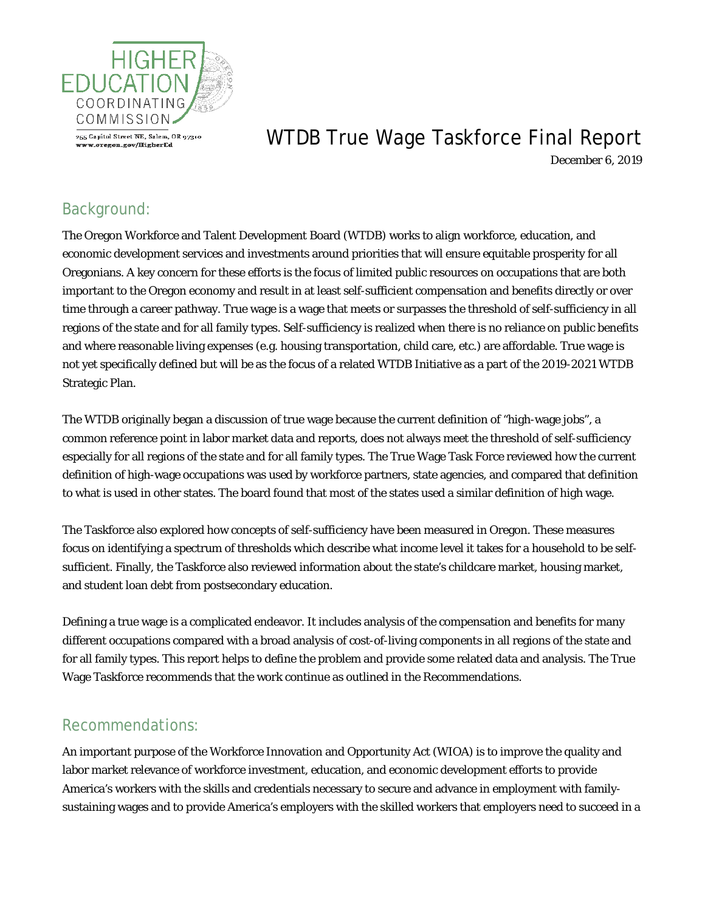

# WTDB True Wage Taskforce Final Report

December 6, 2019

# Background:

The Oregon Workforce and Talent Development Board (WTDB) works to align workforce, education, and economic development services and investments around priorities that will ensure equitable prosperity for all Oregonians. A key concern for these efforts is the focus of limited public resources on occupations that are both important to the Oregon economy and result in at least self-sufficient compensation and benefits directly or over time through a career pathway. True wage is a wage that meets or surpasses the threshold of self-sufficiency in all regions of the state and for all family types. Self-sufficiency is realized when there is no reliance on public benefits and where reasonable living expenses (e.g. housing transportation, child care, etc.) are affordable. True wage is not yet specifically defined but will be as the focus of a related WTDB Initiative as a part of the 2019-2021 WTDB Strategic Plan.

The WTDB originally began a discussion of true wage because the current definition of "high-wage jobs", a common reference point in labor market data and reports, does not always meet the threshold of self-sufficiency especially for all regions of the state and for all family types. The True Wage Task Force reviewed how the current definition of high-wage occupations was used by workforce partners, state agencies, and compared that definition to what is used in other states. The board found that most of the states used a similar definition of high wage.

The Taskforce also explored how concepts of self-sufficiency have been measured in Oregon. These measures focus on identifying a spectrum of thresholds which describe what income level it takes for a household to be selfsufficient. Finally, the Taskforce also reviewed information about the state's childcare market, housing market, and student loan debt from postsecondary education.

Defining a true wage is a complicated endeavor. It includes analysis of the compensation and benefits for many different occupations compared with a broad analysis of cost-of-living components in all regions of the state and for all family types. This report helps to define the problem and provide some related data and analysis. The True Wage Taskforce recommends that the work continue as outlined in the Recommendations.

## Recommendations:

An important purpose of the Workforce Innovation and Opportunity Act (WIOA) is to improve the quality and labor market relevance of workforce investment, education, and economic development efforts to provide America's workers with the skills and credentials necessary to secure and advance in employment with familysustaining wages and to provide America's employers with the skilled workers that employers need to succeed in a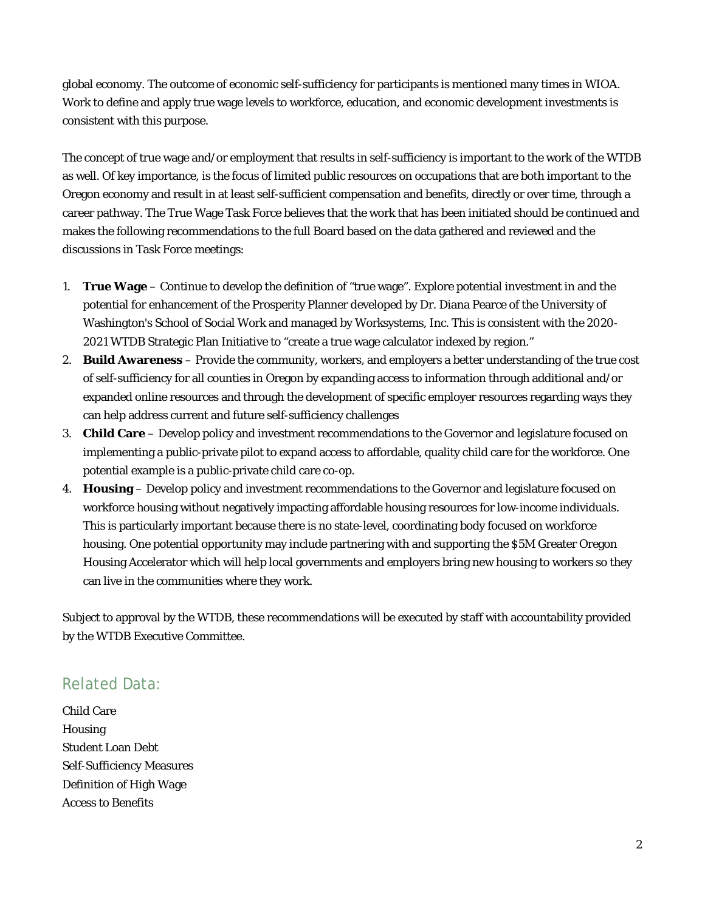global economy. The outcome of economic self-sufficiency for participants is mentioned many times in WIOA. Work to define and apply true wage levels to workforce, education, and economic development investments is consistent with this purpose.

The concept of true wage and/or employment that results in self-sufficiency is important to the work of the WTDB as well. Of key importance, is the focus of limited public resources on occupations that are both important to the Oregon economy and result in at least self-sufficient compensation and benefits, directly or over time, through a career pathway. The True Wage Task Force believes that the work that has been initiated should be continued and makes the following recommendations to the full Board based on the data gathered and reviewed and the discussions in Task Force meetings:

- 1. **True Wage** Continue to develop the definition of "true wage". Explore potential investment in and the potential for enhancement of the Prosperity Planner developed by Dr. Diana Pearce of the University of Washington's School of Social Work and managed by Worksystems, Inc. This is consistent with the 2020- 2021 WTDB Strategic Plan Initiative to "create a true wage calculator indexed by region."
- 2. **Build Awareness** Provide the community, workers, and employers a better understanding of the true cost of self-sufficiency for all counties in Oregon by expanding access to information through additional and/or expanded online resources and through the development of specific employer resources regarding ways they can help address current and future self-sufficiency challenges
- 3. **Child Care** Develop policy and investment recommendations to the Governor and legislature focused on implementing a public-private pilot to expand access to affordable, quality child care for the workforce. One potential example is a public-private child care co-op.
- 4. **Housing** Develop policy and investment recommendations to the Governor and legislature focused on workforce housing without negatively impacting affordable housing resources for low-income individuals. This is particularly important because there is no state-level, coordinating body focused on workforce housing. One potential opportunity may include partnering with and supporting the \$5M Greater Oregon Housing Accelerator which will help local governments and employers bring new housing to workers so they can live in the communities where they work.

Subject to approval by the WTDB, these recommendations will be executed by staff with accountability provided by the WTDB Executive Committee.

## Related Data:

Child Care Housing Student Loan Debt Self-Sufficiency Measures Definition of High Wage Access to Benefits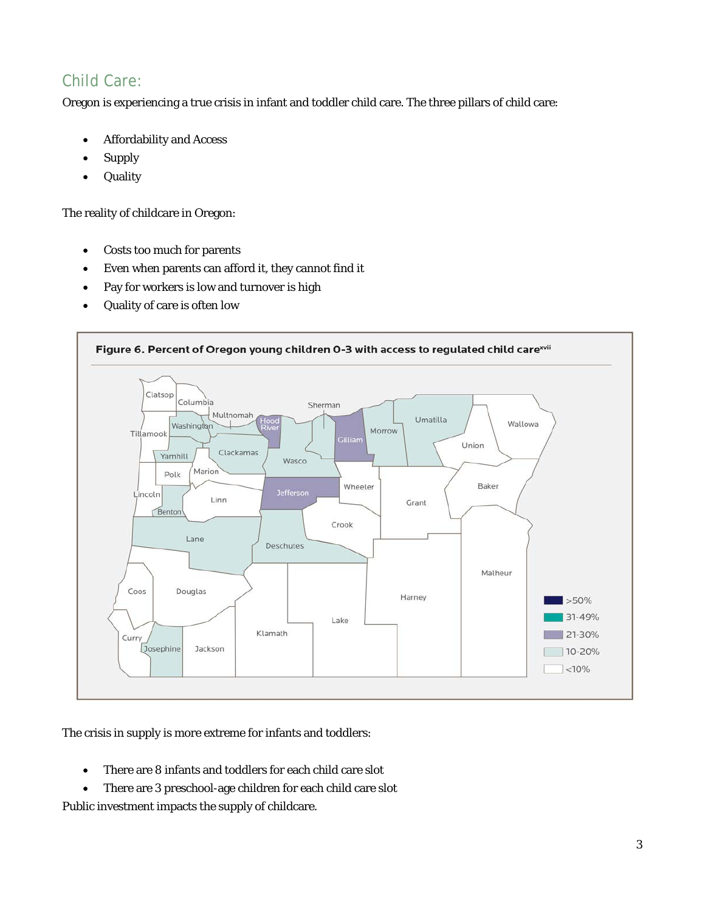# Child Care:

Oregon is experiencing a true crisis in infant and toddler child care. The three pillars of child care:

- Affordability and Access
- Supply
- Quality

The reality of childcare in Oregon:

- Costs too much for parents
- Even when parents can afford it, they cannot find it
- Pay for workers is low and turnover is high
- Quality of care is often low



The crisis in supply is more extreme for infants and toddlers:

- There are 8 infants and toddlers for each child care slot
- There are 3 preschool-age children for each child care slot

Public investment impacts the supply of childcare.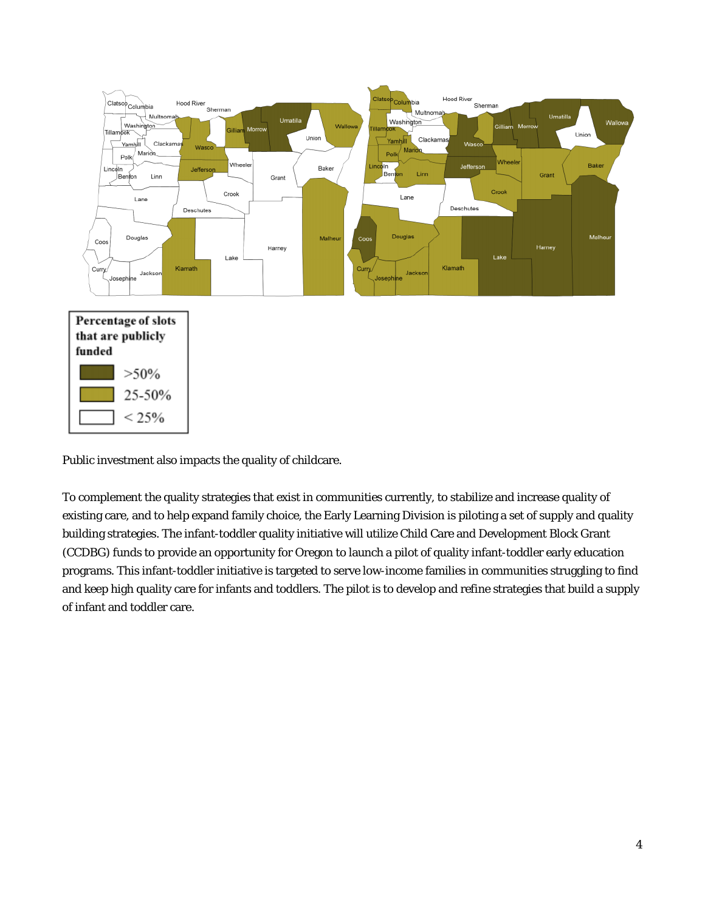

Public investment also impacts the quality of childcare.

25-50%

 $< 25%$ 

To complement the quality strategies that exist in communities currently, to stabilize and increase quality of existing care, and to help expand family choice, the Early Learning Division is piloting a set of supply and quality building strategies. The infant-toddler quality initiative will utilize Child Care and Development Block Grant (CCDBG) funds to provide an opportunity for Oregon to launch a pilot of quality infant-toddler early education programs. This infant-toddler initiative is targeted to serve low-income families in communities struggling to find and keep high quality care for infants and toddlers. The pilot is to develop and refine strategies that build a supply of infant and toddler care.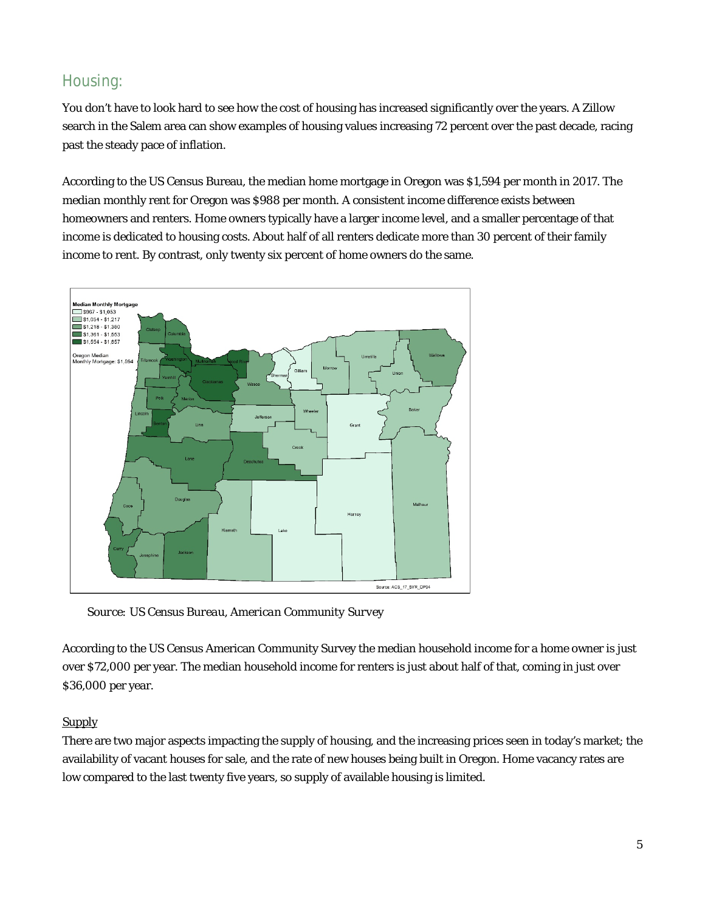## Housing:

You don't have to look hard to see how the cost of housing has increased significantly over the years. A Zillow search in the Salem area can show examples of housing values increasing 72 percent over the past decade, racing past the steady pace of inflation.

According to the US Census Bureau, the median home mortgage in Oregon was \$1,594 per month in 2017. The median monthly rent for Oregon was \$988 per month. A consistent income difference exists between homeowners and renters. Home owners typically have a larger income level, and a smaller percentage of that income is dedicated to housing costs. About half of all renters dedicate more than 30 percent of their family income to rent. By contrast, only twenty six percent of home owners do the same.



*Source: US Census Bureau, American Community Survey*

According to the US Census American Community Survey the median household income for a home owner is just over \$72,000 per year. The median household income for renters is just about half of that, coming in just over \$36,000 per year.

## **Supply**

There are two major aspects impacting the supply of housing, and the increasing prices seen in today's market; the availability of vacant houses for sale, and the rate of new houses being built in Oregon. Home vacancy rates are low compared to the last twenty five years, so supply of available housing is limited.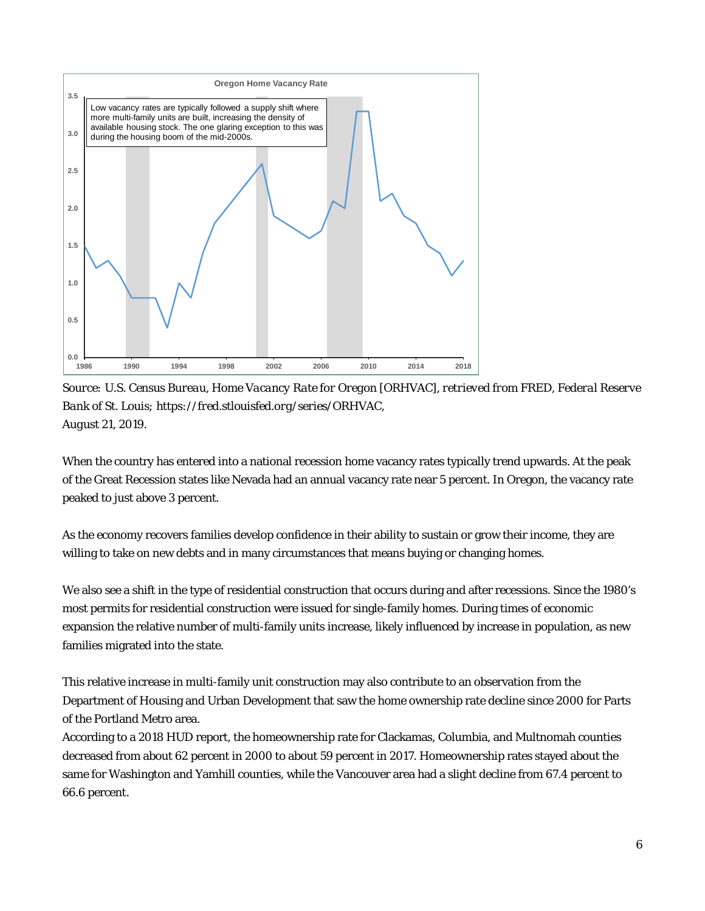

*Source: U.S. Census Bureau, Home Vacancy Rate for Oregon [ORHVAC], retrieved from FRED, Federal Reserve Bank of St. Louis; https://fred.stlouisfed.org/series/ORHVAC, August 21, 2019.*

When the country has entered into a national recession home vacancy rates typically trend upwards. At the peak of the Great Recession states like Nevada had an annual vacancy rate near 5 percent. In Oregon, the vacancy rate peaked to just above 3 percent.

As the economy recovers families develop confidence in their ability to sustain or grow their income, they are willing to take on new debts and in many circumstances that means buying or changing homes.

We also see a shift in the type of residential construction that occurs during and after recessions. Since the 1980's most permits for residential construction were issued for single-family homes. During times of economic expansion the relative number of multi-family units increase, likely influenced by increase in population, as new families migrated into the state.

This relative increase in multi-family unit construction may also contribute to an observation from the Department of Housing and Urban Development that saw the home ownership rate decline since 2000 for Parts of the Portland Metro area.

According to a 2018 HUD report, the homeownership rate for Clackamas, Columbia, and Multnomah counties decreased from about 62 percent in 2000 to about 59 percent in 2017. Homeownership rates stayed about the same for Washington and Yamhill counties, while the Vancouver area had a slight decline from 67.4 percent to 66.6 percent.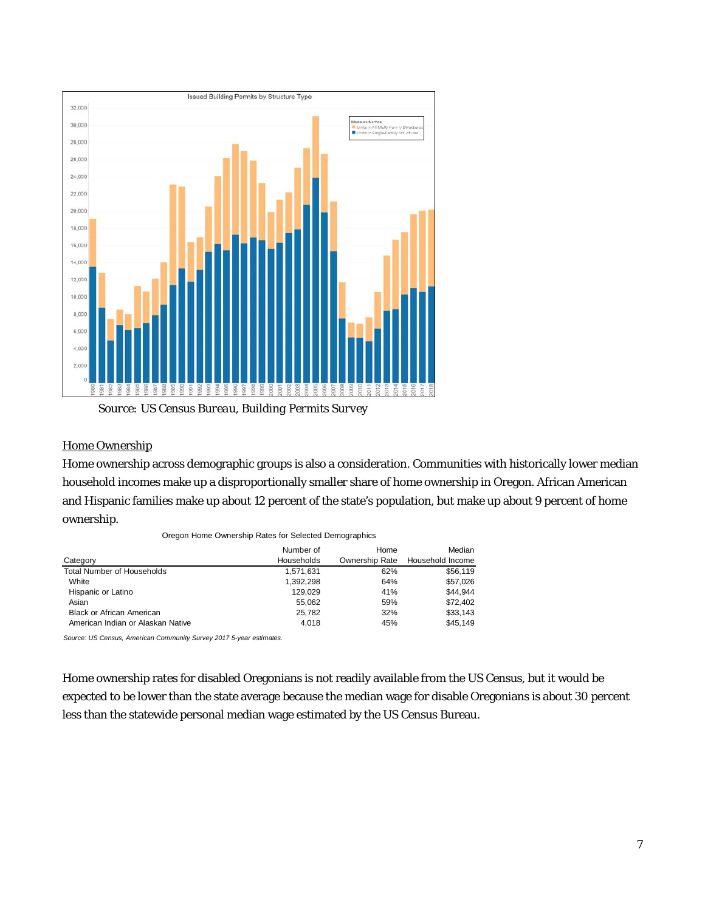

*Source: US Census Bureau, Building Permits Survey*

### Home Ownership

Home ownership across demographic groups is also a consideration. Communities with historically lower median household incomes make up a disproportionally smaller share of home ownership in Oregon. African American and Hispanic families make up about 12 percent of the state's population, but make up about 9 percent of home ownership.

|  | Oregon Home Ownership Rates for Selected Demographics |  |  |  |
|--|-------------------------------------------------------|--|--|--|
|  |                                                       |  |  |  |

|                                   | Number of  | Home           | Median           |
|-----------------------------------|------------|----------------|------------------|
| Category                          | Households | Ownership Rate | Household Income |
| <b>Total Number of Households</b> | 1,571,631  | 62%            | \$56,119         |
| White                             | 1,392,298  | 64%            | \$57,026         |
| Hispanic or Latino                | 129.029    | 41%            | \$44.944         |
| Asian                             | 55.062     | 59%            | \$72,402         |
| <b>Black or African American</b>  | 25.782     | 32%            | \$33,143         |
| American Indian or Alaskan Native | 4.018      | 45%            | \$45.149         |

*Source: US Census, American Community Survey 2017 5-year estimates.*

Home ownership rates for disabled Oregonians is not readily available from the US Census, but it would be expected to be lower than the state average because the median wage for disable Oregonians is about 30 percent less than the statewide personal median wage estimated by the US Census Bureau.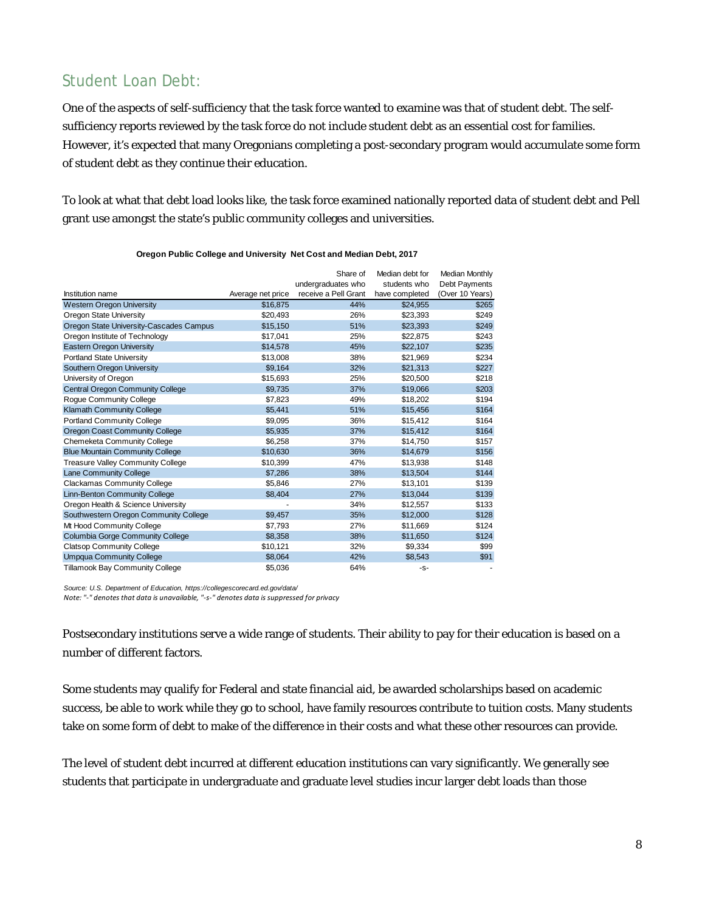## Student Loan Debt:

One of the aspects of self-sufficiency that the task force wanted to examine was that of student debt. The selfsufficiency reports reviewed by the task force do not include student debt as an essential cost for families. However, it's expected that many Oregonians completing a post-secondary program would accumulate some form of student debt as they continue their education.

To look at what that debt load looks like, the task force examined nationally reported data of student debt and Pell grant use amongst the state's public community colleges and universities.

|                                          |                   | Share of<br>undergraduates who | Median debt for<br>students who | Median Monthly<br>Debt Payments |
|------------------------------------------|-------------------|--------------------------------|---------------------------------|---------------------------------|
| Institution name                         | Average net price | receive a Pell Grant           | have completed                  | (Over 10 Years)                 |
| <b>Western Oregon University</b>         | \$16,875          | 44%                            | \$24,955                        | \$265                           |
| Oregon State University                  | \$20,493          | 26%                            | \$23,393                        | \$249                           |
| Oregon State University-Cascades Campus  | \$15,150          | 51%                            | \$23,393                        | \$249                           |
| Oregon Institute of Technology           | \$17,041          | 25%                            | \$22,875                        | \$243                           |
| <b>Eastern Oregon University</b>         | \$14,578          | 45%                            | \$22,107                        | \$235                           |
| <b>Portland State University</b>         | \$13,008          | 38%                            | \$21,969                        | \$234                           |
| Southern Oregon University               | \$9.164           | 32%                            | \$21,313                        | \$227                           |
| University of Oregon                     | \$15,693          | 25%                            | \$20,500                        | \$218                           |
| <b>Central Oregon Community College</b>  | \$9,735           | 37%                            | \$19,066                        | \$203                           |
| Roque Community College                  | \$7,823           | 49%                            | \$18,202                        | \$194                           |
| Klamath Community College                | \$5,441           | 51%                            | \$15,456                        | \$164                           |
| <b>Portland Community College</b>        | \$9,095           | 36%                            | \$15,412                        | \$164                           |
| <b>Oregon Coast Community College</b>    | \$5,935           | 37%                            | \$15.412                        | \$164                           |
| Chemeketa Community College              | \$6,258           | 37%                            | \$14,750                        | \$157                           |
| <b>Blue Mountain Community College</b>   | \$10,630          | 36%                            | \$14,679                        | \$156                           |
| <b>Treasure Valley Community College</b> | \$10,399          | 47%                            | \$13,938                        | \$148                           |
| <b>Lane Community College</b>            | \$7.286           | 38%                            | \$13,504                        | \$144                           |
| <b>Clackamas Community College</b>       | \$5,846           | 27%                            | \$13,101                        | \$139                           |
| Linn-Benton Community College            | \$8.404           | 27%                            | \$13,044                        | \$139                           |
| Oregon Health & Science University       |                   | 34%                            | \$12,557                        | \$133                           |
| Southwestern Oregon Community College    | \$9,457           | 35%                            | \$12,000                        | \$128                           |
| Mt Hood Community College                | \$7,793           | 27%                            | \$11,669                        | \$124                           |
| Columbia Gorge Community College         | \$8,358           | 38%                            | \$11,650                        | \$124                           |
| <b>Clatsop Community College</b>         | \$10,121          | 32%                            | \$9,334                         | \$99                            |
| <b>Umpqua Community College</b>          | \$8,064           | 42%                            | \$8,543                         | \$91                            |
| Tillamook Bay Community College          | \$5.036           | 64%                            | -S-                             |                                 |

**Oregon Public College and University Net Cost and Median Debt, 2017** 

*Source: U.S. Department of Education, https://collegescorecard.ed.gov/data/ Note: "-" denotes that data is unavailable, "-s-" denotes data is suppressed for privacy*

Postsecondary institutions serve a wide range of students. Their ability to pay for their education is based on a number of different factors.

Some students may qualify for Federal and state financial aid, be awarded scholarships based on academic success, be able to work while they go to school, have family resources contribute to tuition costs. Many students take on some form of debt to make of the difference in their costs and what these other resources can provide.

The level of student debt incurred at different education institutions can vary significantly. We generally see students that participate in undergraduate and graduate level studies incur larger debt loads than those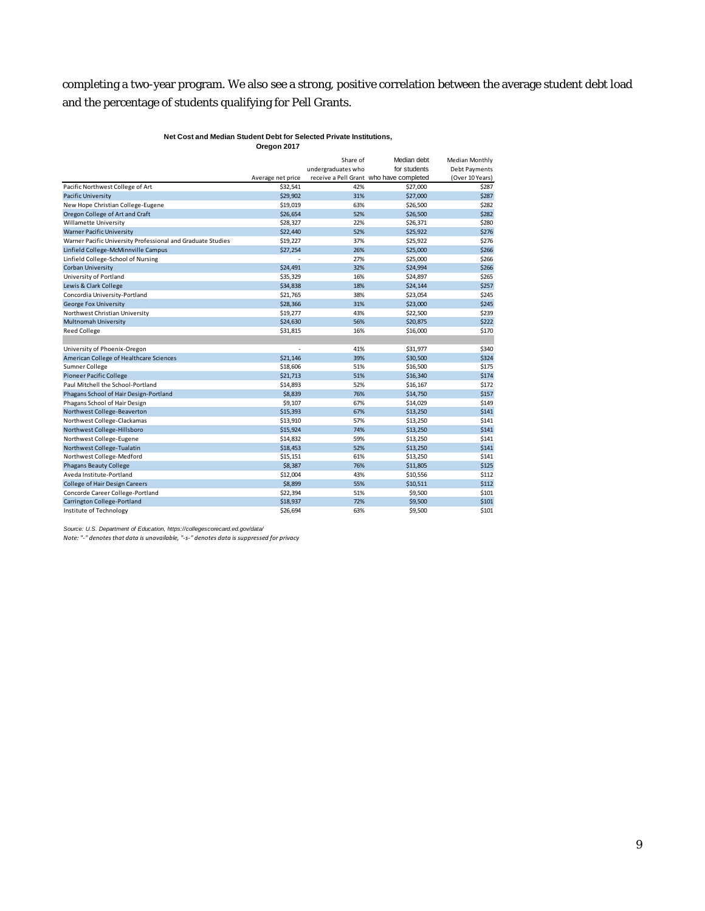## completing a two-year program. We also see a strong, positive correlation between the average student debt load and the percentage of students qualifying for Pell Grants.

#### **Net Cost and Median Student Debt for Selected Private Institutions, Oregon 2017**

|                                                             |                   | Share of           | Median debt                             | Median Monthly  |
|-------------------------------------------------------------|-------------------|--------------------|-----------------------------------------|-----------------|
|                                                             |                   | undergraduates who | for students                            | Debt Payments   |
|                                                             | Average net price |                    | receive a Pell Grant who have completed | (Over 10 Years) |
| Pacific Northwest College of Art                            | \$32,541          | 42%                | \$27,000                                | \$287           |
| <b>Pacific University</b>                                   | \$29,902          | 31%                | \$27,000                                | \$287           |
| New Hope Christian College-Eugene                           | \$19,019          | 63%                | \$26,500                                | \$282           |
| Oregon College of Art and Craft                             | \$26,654          | 52%                | \$26,500                                | \$282           |
| Willamette University                                       | \$28,327          | 22%                | \$26,371                                | \$280           |
| <b>Warner Pacific University</b>                            | \$22,440          | 52%                | \$25,922                                | \$276           |
| Warner Pacific University Professional and Graduate Studies | \$19,227          | 37%                | \$25,922                                | \$276           |
| Linfield College-McMinnville Campus                         | \$27,254          | 26%                | \$25,000                                | \$266           |
| Linfield College-School of Nursing                          |                   | 27%                | \$25,000                                | \$266           |
| <b>Corban University</b>                                    | \$24,491          | 32%                | \$24,994                                | \$266           |
| University of Portland                                      | \$35,329          | 16%                | \$24,897                                | \$265           |
| Lewis & Clark College                                       | \$34,838          | 18%                | \$24,144                                | \$257           |
| Concordia University-Portland                               | \$21,765          | 38%                | \$23,054                                | \$245           |
| George Fox University                                       | \$28,366          | 31%                | \$23,000                                | \$245           |
| Northwest Christian University                              | \$19,277          | 43%                | \$22,500                                | \$239           |
| <b>Multnomah University</b>                                 | \$24,630          | 56%                | \$20,875                                | \$222           |
| <b>Reed College</b>                                         | \$31,815          | 16%                | \$16,000                                | \$170           |
|                                                             |                   |                    |                                         |                 |
| University of Phoenix-Oregon                                | ä,                | 41%                | \$31,977                                | \$340           |
| American College of Healthcare Sciences                     | \$21,146          | 39%                | \$30,500                                | \$324           |
| Sumner College                                              | \$18,606          | 51%                | \$16,500                                | \$175           |
| <b>Pioneer Pacific College</b>                              | \$21,713          | 51%                | \$16,340                                | \$174           |
| Paul Mitchell the School-Portland                           | \$14,893          | 52%                | \$16,167                                | \$172           |
| Phagans School of Hair Design-Portland                      | \$8,839           | 76%                | \$14,750                                | \$157           |
| Phagans School of Hair Design                               | \$9,107           | 67%                | \$14,029                                | \$149           |
| Northwest College-Beaverton                                 | \$15,393          | 67%                | \$13,250                                | \$141           |
| Northwest College-Clackamas                                 | \$13,910          | 57%                | \$13,250                                | \$141           |
| Northwest College-Hillsboro                                 | \$15,924          | 74%                | \$13,250                                | \$141           |
| Northwest College-Eugene                                    | \$14,832          | 59%                | \$13,250                                | \$141           |
| Northwest College-Tualatin                                  | \$18,453          | 52%                | \$13,250                                | \$141           |
| Northwest College-Medford                                   | \$15,151          | 61%                | \$13,250                                | \$141           |
| <b>Phagans Beauty College</b>                               | \$8,387           | 76%                | \$11,805                                | \$125           |
| Aveda Institute-Portland                                    | \$12,004          | 43%                | \$10,556                                | \$112           |
| <b>College of Hair Design Careers</b>                       | \$8,899           | 55%                | \$10,511                                | \$112           |
| Concorde Career College-Portland                            | \$22,394          | 51%                | \$9,500                                 | \$101           |
| Carrington College-Portland                                 | \$18.937          | 72%                | \$9.500                                 | \$101           |
| Institute of Technology                                     | \$26,694          | 63%                | \$9,500                                 | \$101           |

*Source: U.S. Department of Education, https://collegescorecard.ed.gov/data/ Note: "-" denotes that data is unavailable, "-s-" denotes data is suppressed for privacy*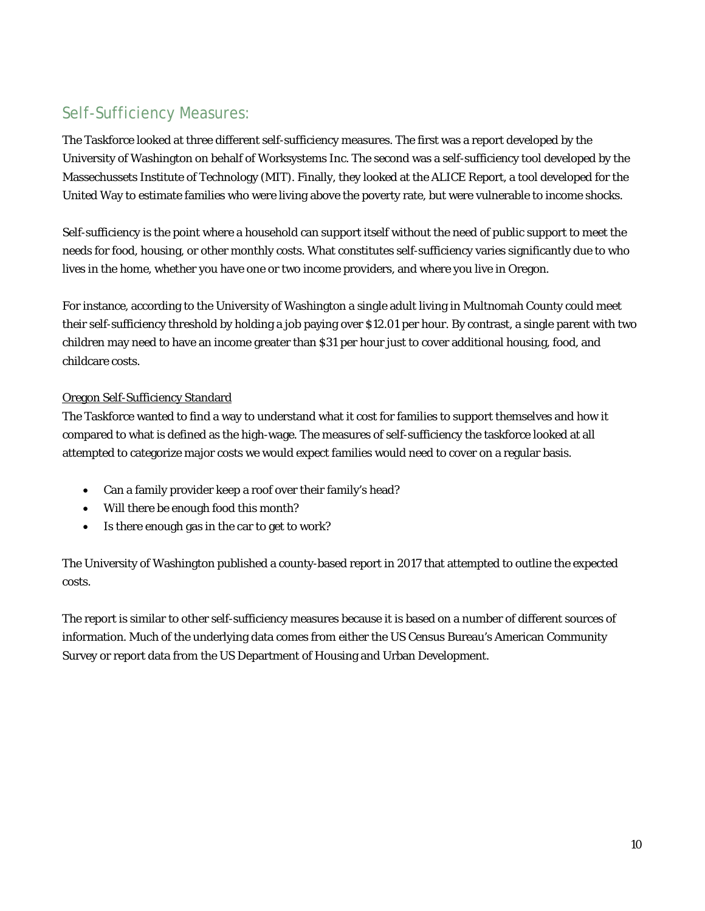# Self-Sufficiency Measures:

The Taskforce looked at three different self-sufficiency measures. The first was a report developed by the University of Washington on behalf of Worksystems Inc. The second was a self-sufficiency tool developed by the Massechussets Institute of Technology (MIT). Finally, they looked at the ALICE Report, a tool developed for the United Way to estimate families who were living above the poverty rate, but were vulnerable to income shocks.

Self-sufficiency is the point where a household can support itself without the need of public support to meet the needs for food, housing, or other monthly costs. What constitutes self-sufficiency varies significantly due to who lives in the home, whether you have one or two income providers, and where you live in Oregon.

For instance, according to the University of Washington a single adult living in Multnomah County could meet their self-sufficiency threshold by holding a job paying over \$12.01 per hour. By contrast, a single parent with two children may need to have an income greater than \$31 per hour just to cover additional housing, food, and childcare costs.

### Oregon Self-Sufficiency Standard

The Taskforce wanted to find a way to understand what it cost for families to support themselves and how it compared to what is defined as the high-wage. The measures of self-sufficiency the taskforce looked at all attempted to categorize major costs we would expect families would need to cover on a regular basis.

- Can a family provider keep a roof over their family's head?
- Will there be enough food this month?
- Is there enough gas in the car to get to work?

The University of Washington published a county-based report in 2017 that attempted to outline the expected costs.

The report is similar to other self-sufficiency measures because it is based on a number of different sources of information. Much of the underlying data comes from either the US Census Bureau's American Community Survey or report data from the US Department of Housing and Urban Development.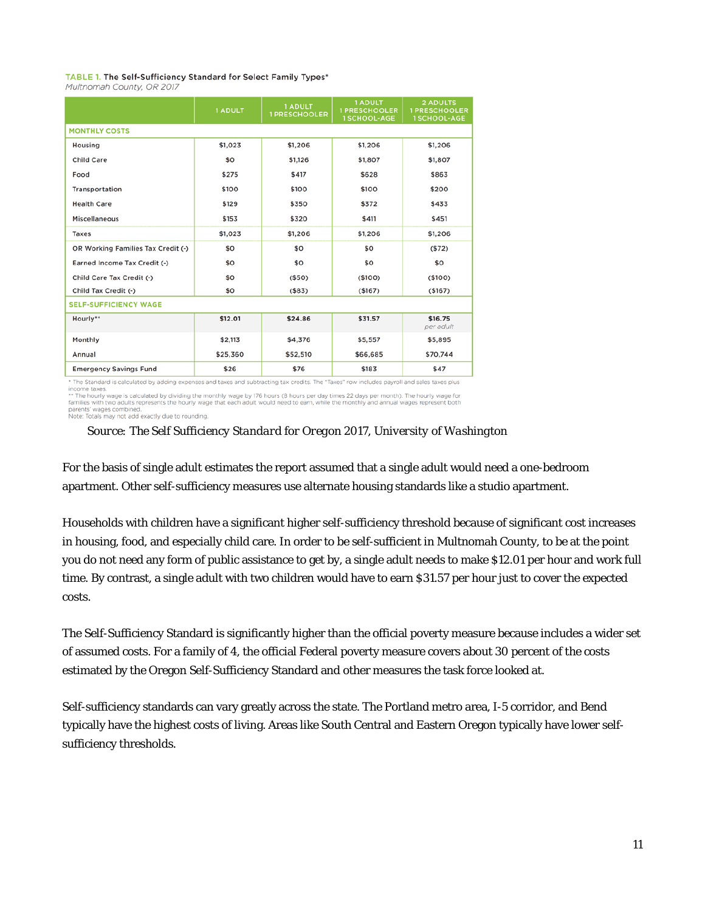### TABLE 1. The Self-Sufficiency Standard for Select Family Types\*

Multnomah County, OR 2017

|                                    | <b>1 ADULT</b> | <b>1 ADULT</b><br><b>1 PRESCHOOLER</b> | 1 ADULT<br><b>1 PRESCHOOLER</b><br><b>1 SCHOOL-AGE</b> | <b>2 ADULTS</b><br><b>1 PRESCHOOLER</b><br><b>1 SCHOOL-AGE</b> |
|------------------------------------|----------------|----------------------------------------|--------------------------------------------------------|----------------------------------------------------------------|
| <b>MONTHLY COSTS</b>               |                |                                        |                                                        |                                                                |
| Housing                            | \$1,023        | \$1,206                                | \$1,206                                                | \$1,206                                                        |
| <b>Child Care</b>                  | \$0            | \$1,126                                | \$1,807                                                | \$1,807                                                        |
| Food                               | \$275          | \$417                                  | \$628                                                  | \$863                                                          |
| Transportation                     | \$100          | \$100                                  | \$100                                                  | \$200                                                          |
| <b>Health Care</b>                 | \$129          | \$350                                  | \$372                                                  | \$433                                                          |
| Miscellaneous                      | \$153          | \$320                                  | \$411                                                  | \$451                                                          |
| Taxes                              | \$1,023        | \$1,206                                | \$1,206                                                | \$1,206                                                        |
| OR Working Families Tax Credit (-) | \$0            | \$0                                    | \$0                                                    | (572)                                                          |
| Earned Income Tax Credit (-)       | \$0            | \$0                                    | \$0                                                    | \$0                                                            |
| Child Care Tax Credit (-)          | \$0            | ( \$50)                                | (\$100)                                                | (\$100)                                                        |
| Child Tax Credit (-)               | \$O            | ( \$83)                                | ( \$167)                                               | ( \$167)                                                       |
| <b>SELF-SUFFICIENCY WAGE</b>       |                |                                        |                                                        |                                                                |
| Hourly**                           | \$12.01        | \$24.86                                | \$31.57                                                | \$16.75<br>per adult                                           |
| Monthly                            | \$2,113        | \$4,376                                | \$5,557                                                | \$5,895                                                        |
| Annual                             | \$25,360       | \$52,510                               | \$66,685                                               | \$70,744                                                       |
| <b>Emergency Savings Fund</b>      | \$26           | \$76                                   | \$183                                                  | \$47                                                           |

\* The Standard is calculated by adding expenses and taxes and subtracting tax credits. The "Taxes" row includes payroll and sales taxes plus income taxes. If discussed by docume dependent of discussed by the second manner and a contract of the hours and the more taxes payer in the second by discussed by discussed by discussed by discussed by the hours of the bo

parents' wages combined.<br>Note: Totals may not add exactly due to rounding.

### *Source: The Self Sufficiency Standard for Oregon 2017, University of Washington*

For the basis of single adult estimates the report assumed that a single adult would need a one-bedroom apartment. Other self-sufficiency measures use alternate housing standards like a studio apartment.

Households with children have a significant higher self-sufficiency threshold because of significant cost increases in housing, food, and especially child care. In order to be self-sufficient in Multnomah County, to be at the point you do not need any form of public assistance to get by, a single adult needs to make \$12.01 per hour and work full time. By contrast, a single adult with two children would have to earn \$31.57 per hour just to cover the expected costs.

The Self-Sufficiency Standard is significantly higher than the official poverty measure because includes a wider set of assumed costs. For a family of 4, the official Federal poverty measure covers about 30 percent of the costs estimated by the Oregon Self-Sufficiency Standard and other measures the task force looked at.

Self-sufficiency standards can vary greatly across the state. The Portland metro area, I-5 corridor, and Bend typically have the highest costs of living. Areas like South Central and Eastern Oregon typically have lower selfsufficiency thresholds.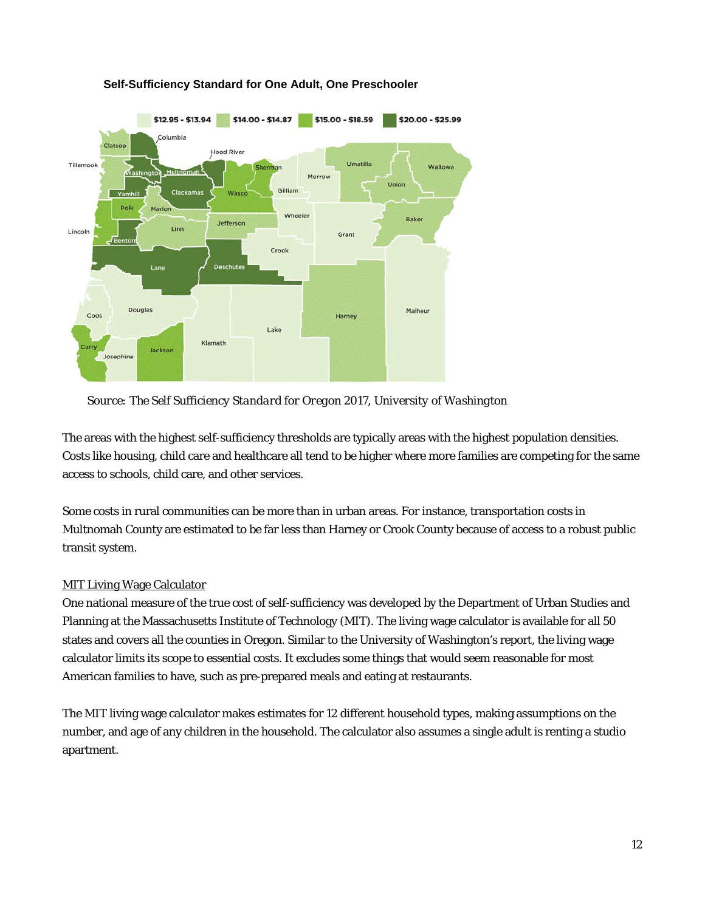

### **Self-Sufficiency Standard for One Adult, One Preschooler**

*Source: The Self Sufficiency Standard for Oregon 2017, University of Washington*

The areas with the highest self-sufficiency thresholds are typically areas with the highest population densities. Costs like housing, child care and healthcare all tend to be higher where more families are competing for the same access to schools, child care, and other services.

Some costs in rural communities can be more than in urban areas. For instance, transportation costs in Multnomah County are estimated to be far less than Harney or Crook County because of access to a robust public transit system.

## MIT Living Wage Calculator

One national measure of the true cost of self-sufficiency was developed by the Department of Urban Studies and Planning at the Massachusetts Institute of Technology (MIT). The living wage calculator is available for all 50 states and covers all the counties in Oregon. Similar to the University of Washington's report, the living wage calculator limits its scope to essential costs. It excludes some things that would seem reasonable for most American families to have, such as pre-prepared meals and eating at restaurants.

The MIT living wage calculator makes estimates for 12 different household types, making assumptions on the number, and age of any children in the household. The calculator also assumes a single adult is renting a studio apartment.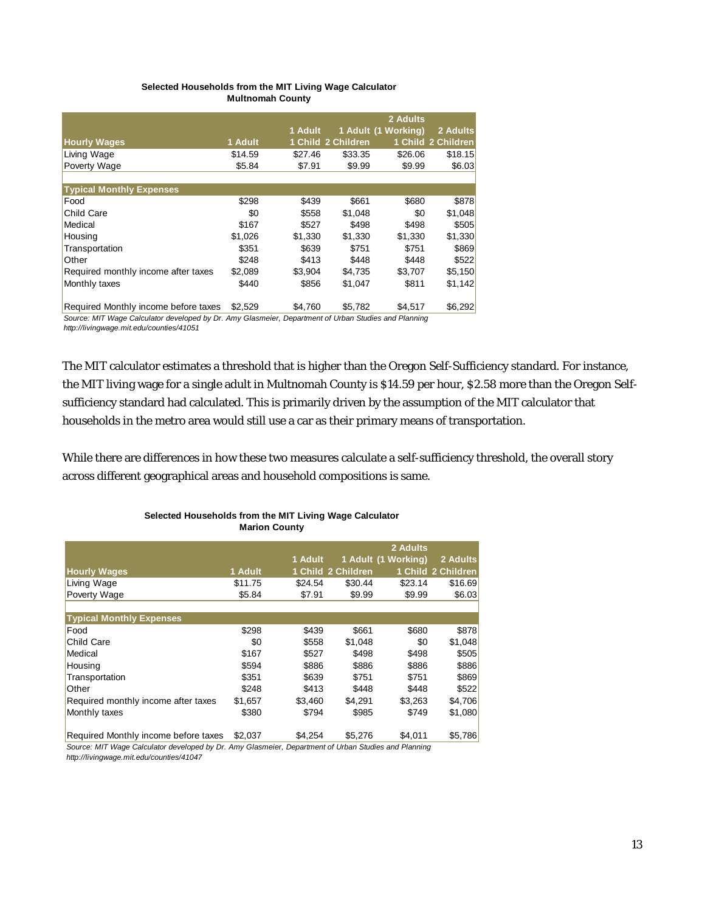### **Selected Households from the MIT Living Wage Calculator Multnomah County**

|                                      |         |         |                    | 2 Adults            |                    |
|--------------------------------------|---------|---------|--------------------|---------------------|--------------------|
|                                      |         | 1 Adult |                    | 1 Adult (1 Working) | 2 Adults           |
| <b>Hourly Wages</b>                  | 1 Adult |         | 1 Child 2 Children |                     | 1 Child 2 Children |
| Living Wage                          | \$14.59 | \$27.46 | \$33.35            | \$26.06             | \$18.15            |
| <b>Poverty Wage</b>                  | \$5.84  | \$7.91  | \$9.99             | \$9.99              | \$6.03             |
|                                      |         |         |                    |                     |                    |
| <b>Typical Monthly Expenses</b>      |         |         |                    |                     |                    |
| Food                                 | \$298   | \$439   | \$661              | \$680               | \$878              |
| <b>Child Care</b>                    | \$0     | \$558   | \$1,048            | \$0                 | \$1,048            |
| Medical                              | \$167   | \$527   | \$498              | \$498               | \$505              |
| Housing                              | \$1,026 | \$1,330 | \$1,330            | \$1,330             | \$1,330            |
| Transportation                       | \$351   | \$639   | \$751              | \$751               | \$869              |
| Other                                | \$248   | \$413   | \$448              | \$448               | \$522              |
| Required monthly income after taxes  | \$2,089 | \$3,904 | \$4,735            | \$3,707             | \$5,150            |
| Monthly taxes                        | \$440   | \$856   | \$1,047            | \$811               | \$1,142            |
| Beguired Manthly income before taxes | no zoo  | 0.700   | C E 700            | 01517               | ce popl            |

Required Monthly income before taxes  $$2,529$   $$4,760$   $$5,782$   $$4,517$ *Source: MIT Wage Calculator developed by Dr. Amy Glasmeier, Department of Urban Studies and Planning*

*http://livingwage.mit.edu/counties/41051*

The MIT calculator estimates a threshold that is higher than the Oregon Self-Sufficiency standard. For instance, the MIT living wage for a single adult in Multnomah County is \$14.59 per hour, \$2.58 more than the Oregon Selfsufficiency standard had calculated. This is primarily driven by the assumption of the MIT calculator that households in the metro area would still use a car as their primary means of transportation.

While there are differences in how these two measures calculate a self-sufficiency threshold, the overall story across different geographical areas and household compositions is same.

|                                                                                                      |         |         |                    | 2 Adults            |                    |
|------------------------------------------------------------------------------------------------------|---------|---------|--------------------|---------------------|--------------------|
|                                                                                                      |         | 1 Adult |                    | 1 Adult (1 Working) | 2 Adults           |
| <b>Hourly Wages</b>                                                                                  | 1 Adult |         | 1 Child 2 Children |                     | 1 Child 2 Children |
| Living Wage                                                                                          | \$11.75 | \$24.54 | \$30.44            | \$23.14             | \$16.69            |
| Poverty Wage                                                                                         | \$5.84  | \$7.91  | \$9.99             | \$9.99              | \$6.03             |
|                                                                                                      |         |         |                    |                     |                    |
| <b>Typical Monthly Expenses</b>                                                                      |         |         |                    |                     |                    |
| Food                                                                                                 | \$298   | \$439   | \$661              | \$680               | \$878              |
| Child Care                                                                                           | \$0     | \$558   | \$1,048            | \$0                 | \$1,048            |
| Medical                                                                                              | \$167   | \$527   | \$498              | \$498               | \$505              |
| Housing                                                                                              | \$594   | \$886   | \$886              | \$886               | \$886              |
| Transportation                                                                                       | \$351   | \$639   | \$751              | \$751               | \$869              |
| Other                                                                                                | \$248   | \$413   | \$448              | \$448               | \$522              |
| Required monthly income after taxes                                                                  | \$1,657 | \$3,460 | \$4,291            | \$3,263             | \$4,706            |
| Monthly taxes                                                                                        | \$380   | \$794   | \$985              | \$749               | \$1,080            |
| Required Monthly income before taxes                                                                 | \$2,037 | \$4.254 | \$5.276            | \$4.011             | \$5,786            |
| Source: MIT Wage Calculator developed by Dr. Amy Glasmeier, Department of Urban Studies and Planning |         |         |                    |                     |                    |

### **Selected Households from the MIT Living Wage Calculator Marion County**

*Source: MIT Wage Calculator developed by Dr. Amy Glasmeier, Department of Urban Studies and Planning http://livingwage.mit.edu/counties/41047*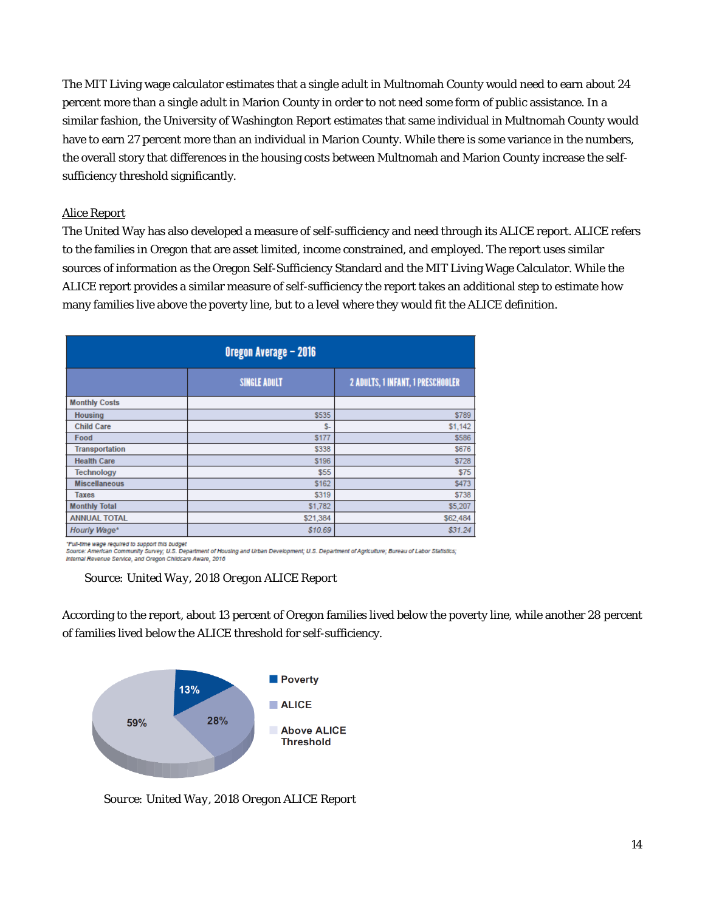The MIT Living wage calculator estimates that a single adult in Multnomah County would need to earn about 24 percent more than a single adult in Marion County in order to not need some form of public assistance. In a similar fashion, the University of Washington Report estimates that same individual in Multnomah County would have to earn 27 percent more than an individual in Marion County. While there is some variance in the numbers, the overall story that differences in the housing costs between Multnomah and Marion County increase the selfsufficiency threshold significantly.

### Alice Report

The United Way has also developed a measure of self-sufficiency and need through its ALICE report. ALICE refers to the families in Oregon that are asset limited, income constrained, and employed. The report uses similar sources of information as the Oregon Self-Sufficiency Standard and the MIT Living Wage Calculator. While the ALICE report provides a similar measure of self-sufficiency the report takes an additional step to estimate how many families live above the poverty line, but to a level where they would fit the ALICE definition.

| Oregon Average - 2016 |                     |                                   |  |  |  |  |
|-----------------------|---------------------|-----------------------------------|--|--|--|--|
|                       | <b>SINGLE ADULT</b> | 2 ADULTS, 1 INFANT, 1 PRESCHOOLER |  |  |  |  |
| <b>Monthly Costs</b>  |                     |                                   |  |  |  |  |
| <b>Housing</b>        | \$535               | \$789                             |  |  |  |  |
| <b>Child Care</b>     | $S-$                | \$1,142                           |  |  |  |  |
| Food                  | <b>S177</b>         | \$586                             |  |  |  |  |
| <b>Transportation</b> | \$338               | \$676                             |  |  |  |  |
| <b>Health Care</b>    | \$196               | \$728                             |  |  |  |  |
| <b>Technology</b>     | \$55                | \$75                              |  |  |  |  |
| <b>Miscellaneous</b>  | \$162               | \$473                             |  |  |  |  |
| <b>Taxes</b>          | \$319               | \$738                             |  |  |  |  |
| <b>Monthly Total</b>  | \$1,782             | \$5,207                           |  |  |  |  |
| <b>ANNUAL TOTAL</b>   | \$21,384            | \$62,484                          |  |  |  |  |
| Hourly Wage*          | \$10.69             | \$31.24                           |  |  |  |  |

"Full-time wage required to support this budget<br>Source: American Community Survey; U.S. Department of Housing and Urban Development; U.S. Department of Agriculture; Bureau of Labor Statistics;<br>Internal Raugaua Reades, and Internal Revenue Service, and Oregon Childcare Aware, 2016

According to the report, about 13 percent of Oregon families lived below the poverty line, while another 28 percent of families lived below the ALICE threshold for self-sufficiency.



*Source: United Way, 2018 Oregon ALICE Report*

*Source: United Way, 2018 Oregon ALICE Report*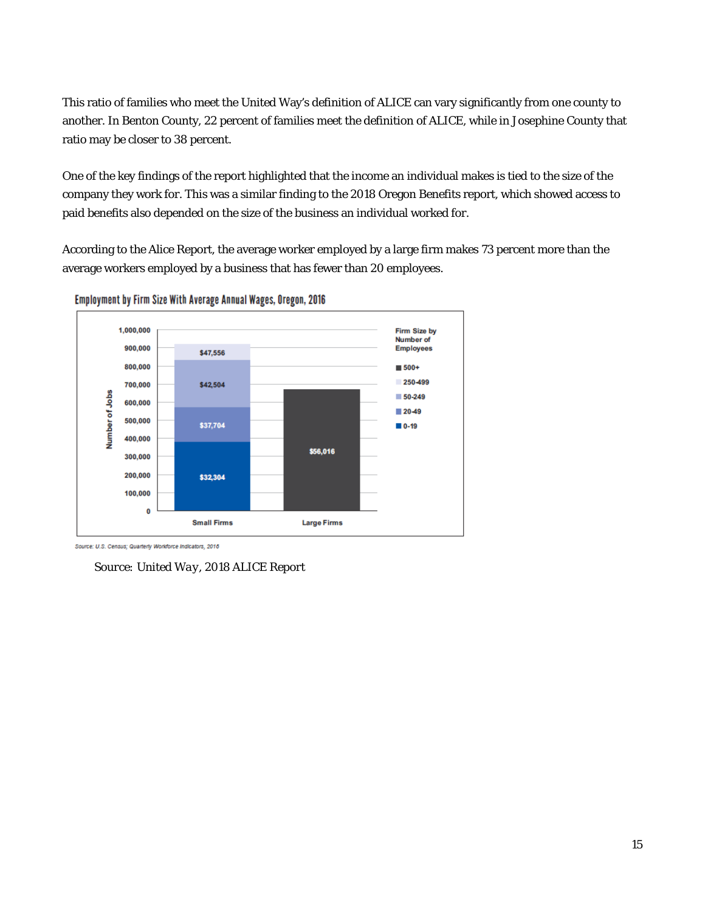This ratio of families who meet the United Way's definition of ALICE can vary significantly from one county to another. In Benton County, 22 percent of families meet the definition of ALICE, while in Josephine County that ratio may be closer to 38 percent.

One of the key findings of the report highlighted that the income an individual makes is tied to the size of the company they work for. This was a similar finding to the 2018 Oregon Benefits report, which showed access to paid benefits also depended on the size of the business an individual worked for.

According to the Alice Report, the average worker employed by a large firm makes 73 percent more than the average workers employed by a business that has fewer than 20 employees.





Source: U.S. Census; Quarterly Workforce Indicators, 2016

*Source: United Way, 2018 ALICE Report*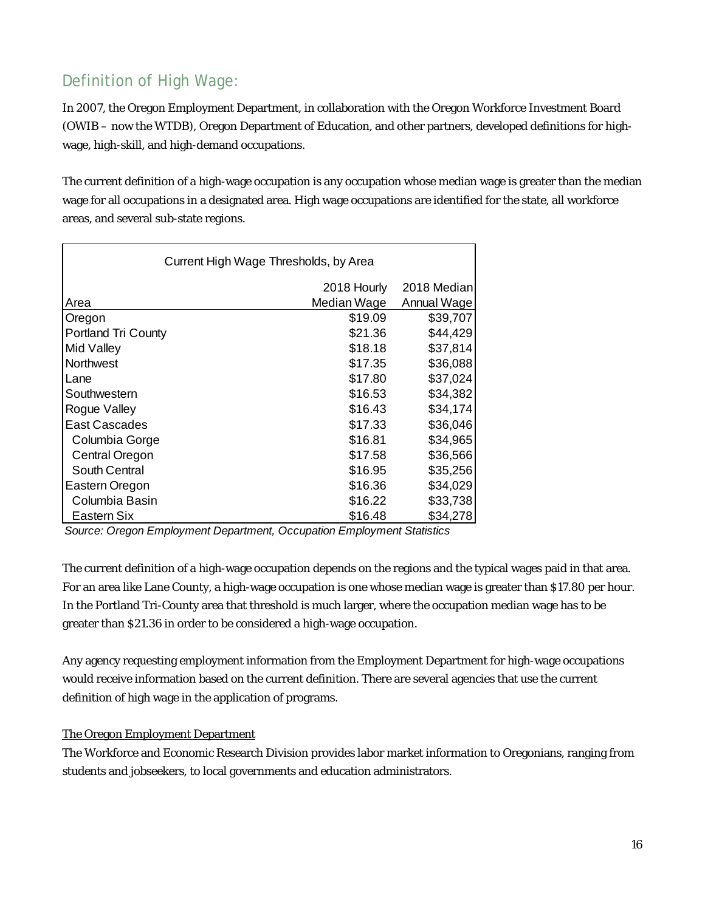# Definition of High Wage:

In 2007, the Oregon Employment Department, in collaboration with the Oregon Workforce Investment Board (OWIB – now the WTDB), Oregon Department of Education, and other partners, developed definitions for highwage, high-skill, and high-demand occupations.

The current definition of a high-wage occupation is any occupation whose median wage is greater than the median wage for all occupations in a designated area. High wage occupations are identified for the state, all workforce areas, and several sub-state regions.

| Current High Wage Thresholds, by Area |             |             |  |  |  |
|---------------------------------------|-------------|-------------|--|--|--|
|                                       | 2018 Hourly | 2018 Median |  |  |  |
| Area                                  | Median Wage | Annual Wage |  |  |  |
| Oregon                                | \$19.09     | \$39,707    |  |  |  |
| Portland Tri County                   | \$21.36     | \$44,429    |  |  |  |
| Mid Valley                            | \$18.18     | \$37,814    |  |  |  |
| <b>Northwest</b>                      | \$17.35     | \$36,088    |  |  |  |
| Lane                                  | \$17.80     | \$37,024    |  |  |  |
| Southwestern                          | \$16.53     | \$34,382    |  |  |  |
| Rogue Valley                          | \$16.43     | \$34,174    |  |  |  |
| East Cascades                         | \$17.33     | \$36,046    |  |  |  |
| Columbia Gorge                        | \$16.81     | \$34,965    |  |  |  |
| Central Oregon                        | \$17.58     | \$36,566    |  |  |  |
| South Central                         | \$16.95     | \$35,256    |  |  |  |
| Eastern Oregon                        | \$16.36     | \$34,029    |  |  |  |
| Columbia Basin                        | \$16.22     | \$33,738    |  |  |  |
| Eastern Six                           | \$16.48     | \$34,278    |  |  |  |

*Source: Oregon Employment Department, Occupation Employment Statistics*

The current definition of a high-wage occupation depends on the regions and the typical wages paid in that area. For an area like Lane County, a high-wage occupation is one whose median wage is greater than \$17.80 per hour. In the Portland Tri-County area that threshold is much larger, where the occupation median wage has to be greater than \$21.36 in order to be considered a high-wage occupation.

Any agency requesting employment information from the Employment Department for high-wage occupations would receive information based on the current definition. There are several agencies that use the current definition of high wage in the application of programs.

## The Oregon Employment Department

The Workforce and Economic Research Division provides labor market information to Oregonians, ranging from students and jobseekers, to local governments and education administrators.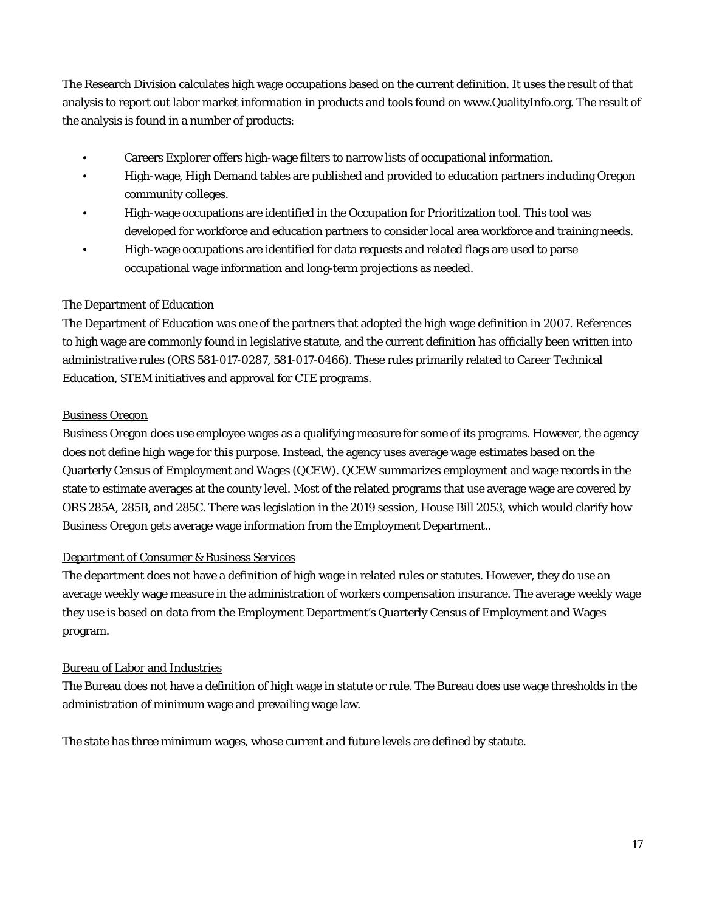The Research Division calculates high wage occupations based on the current definition. It uses the result of that analysis to report out labor market information in products and tools found on www.QualityInfo.org. The result of the analysis is found in a number of products:

- Careers Explorer offers high-wage filters to narrow lists of occupational information.
- High-wage, High Demand tables are published and provided to education partners including Oregon community colleges.
- High-wage occupations are identified in the Occupation for Prioritization tool. This tool was developed for workforce and education partners to consider local area workforce and training needs.
- High-wage occupations are identified for data requests and related flags are used to parse occupational wage information and long-term projections as needed.

### The Department of Education

The Department of Education was one of the partners that adopted the high wage definition in 2007. References to high wage are commonly found in legislative statute, and the current definition has officially been written into administrative rules (ORS 581-017-0287, 581-017-0466). These rules primarily related to Career Technical Education, STEM initiatives and approval for CTE programs.

### Business Oregon

Business Oregon does use employee wages as a qualifying measure for some of its programs. However, the agency does not define high wage for this purpose. Instead, the agency uses average wage estimates based on the Quarterly Census of Employment and Wages (QCEW). QCEW summarizes employment and wage records in the state to estimate averages at the county level. Most of the related programs that use average wage are covered by ORS 285A, 285B, and 285C. There was legislation in the 2019 session, House Bill 2053, which would clarify how Business Oregon gets average wage information from the Employment Department..

### Department of Consumer & Business Services

The department does not have a definition of high wage in related rules or statutes. However, they do use an average weekly wage measure in the administration of workers compensation insurance. The average weekly wage they use is based on data from the Employment Department's Quarterly Census of Employment and Wages program.

### Bureau of Labor and Industries

The Bureau does not have a definition of high wage in statute or rule. The Bureau does use wage thresholds in the administration of minimum wage and prevailing wage law.

The state has three minimum wages, whose current and future levels are defined by statute.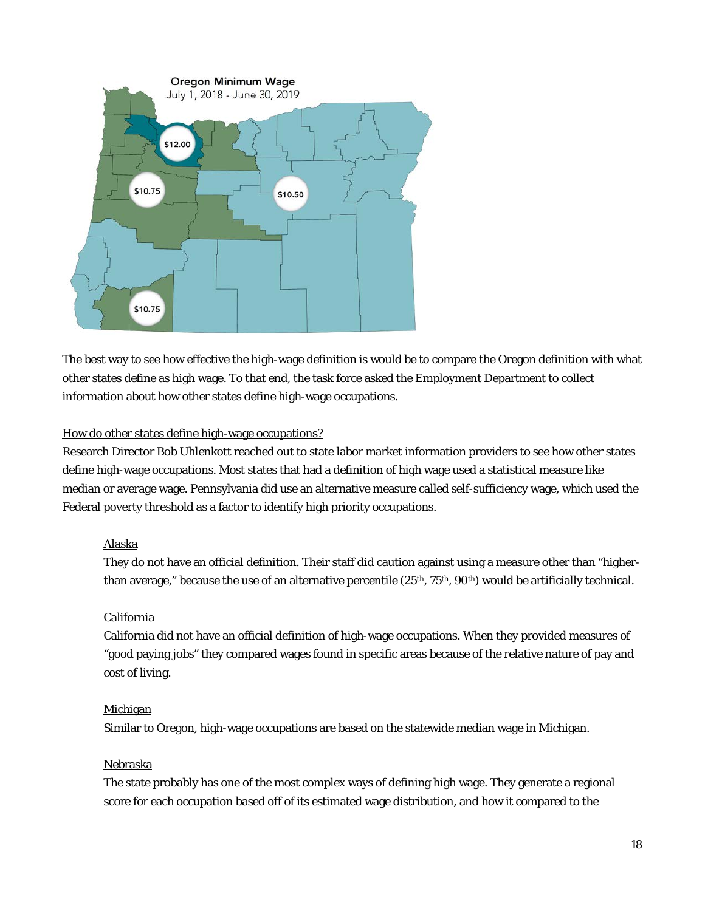

The best way to see how effective the high-wage definition is would be to compare the Oregon definition with what other states define as high wage. To that end, the task force asked the Employment Department to collect information about how other states define high-wage occupations.

### How do other states define high-wage occupations?

Research Director Bob Uhlenkott reached out to state labor market information providers to see how other states define high-wage occupations. Most states that had a definition of high wage used a statistical measure like median or average wage. Pennsylvania did use an alternative measure called self-sufficiency wage, which used the Federal poverty threshold as a factor to identify high priority occupations.

### Alaska

They do not have an official definition. Their staff did caution against using a measure other than "higherthan average," because the use of an alternative percentile  $(25<sup>th</sup>, 75<sup>th</sup>, 90<sup>th</sup>)$  would be artificially technical.

## California

California did not have an official definition of high-wage occupations. When they provided measures of "good paying jobs" they compared wages found in specific areas because of the relative nature of pay and cost of living.

## Michigan

Similar to Oregon, high-wage occupations are based on the statewide median wage in Michigan.

### Nebraska

The state probably has one of the most complex ways of defining high wage. They generate a regional score for each occupation based off of its estimated wage distribution, and how it compared to the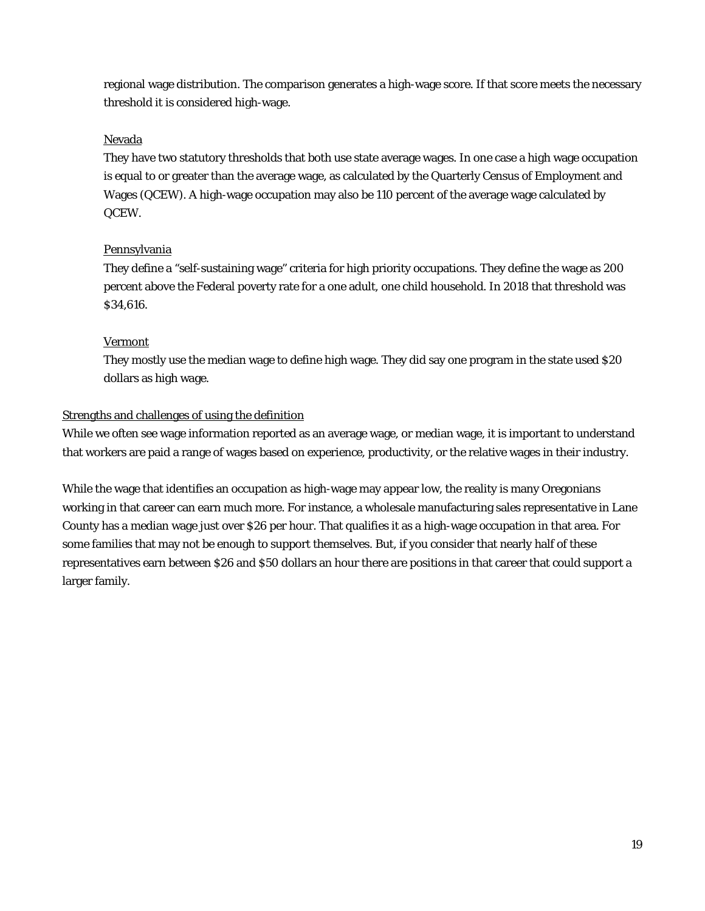regional wage distribution. The comparison generates a high-wage score. If that score meets the necessary threshold it is considered high-wage.

### Nevada

They have two statutory thresholds that both use state average wages. In one case a high wage occupation is equal to or greater than the average wage, as calculated by the Quarterly Census of Employment and Wages (QCEW). A high-wage occupation may also be 110 percent of the average wage calculated by QCEW.

### **Pennsylvania**

They define a "self-sustaining wage" criteria for high priority occupations. They define the wage as 200 percent above the Federal poverty rate for a one adult, one child household. In 2018 that threshold was \$34,616.

### Vermont

They mostly use the median wage to define high wage. They did say one program in the state used \$20 dollars as high wage.

### Strengths and challenges of using the definition

While we often see wage information reported as an average wage, or median wage, it is important to understand that workers are paid a range of wages based on experience, productivity, or the relative wages in their industry.

While the wage that identifies an occupation as high-wage may appear low, the reality is many Oregonians working in that career can earn much more. For instance, a wholesale manufacturing sales representative in Lane County has a median wage just over \$26 per hour. That qualifies it as a high-wage occupation in that area. For some families that may not be enough to support themselves. But, if you consider that nearly half of these representatives earn between \$26 and \$50 dollars an hour there are positions in that career that could support a larger family.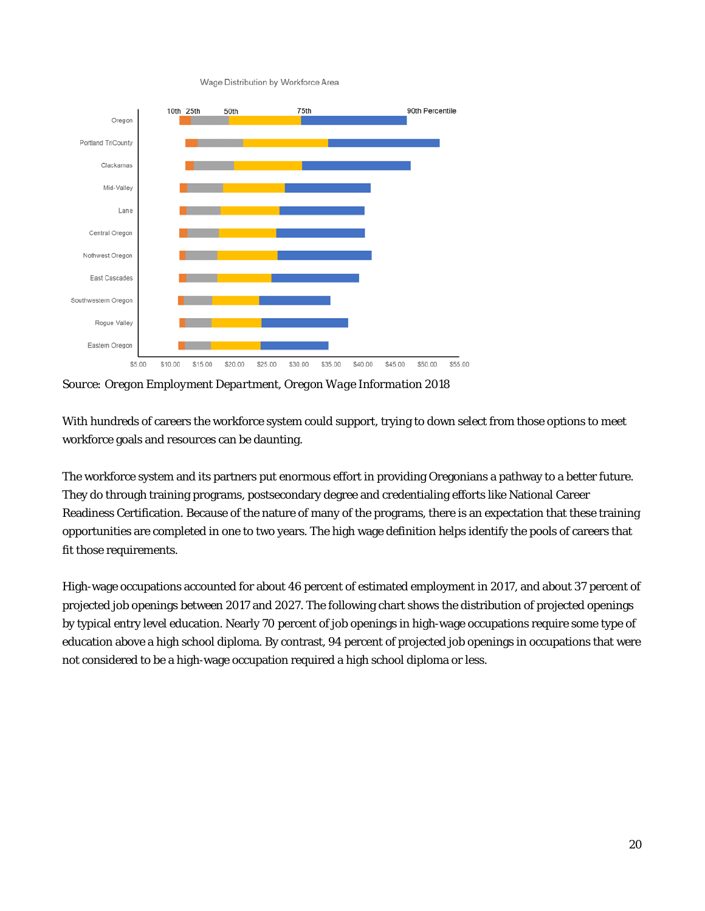Wage Distribution by Workforce Area



*Source: Oregon Employment Department, Oregon Wage Information 2018*

With hundreds of careers the workforce system could support, trying to down select from those options to meet workforce goals and resources can be daunting.

The workforce system and its partners put enormous effort in providing Oregonians a pathway to a better future. They do through training programs, postsecondary degree and credentialing efforts like National Career Readiness Certification. Because of the nature of many of the programs, there is an expectation that these training opportunities are completed in one to two years. The high wage definition helps identify the pools of careers that fit those requirements.

High-wage occupations accounted for about 46 percent of estimated employment in 2017, and about 37 percent of projected job openings between 2017 and 2027. The following chart shows the distribution of projected openings by typical entry level education. Nearly 70 percent of job openings in high-wage occupations require some type of education above a high school diploma. By contrast, 94 percent of projected job openings in occupations that were not considered to be a high-wage occupation required a high school diploma or less.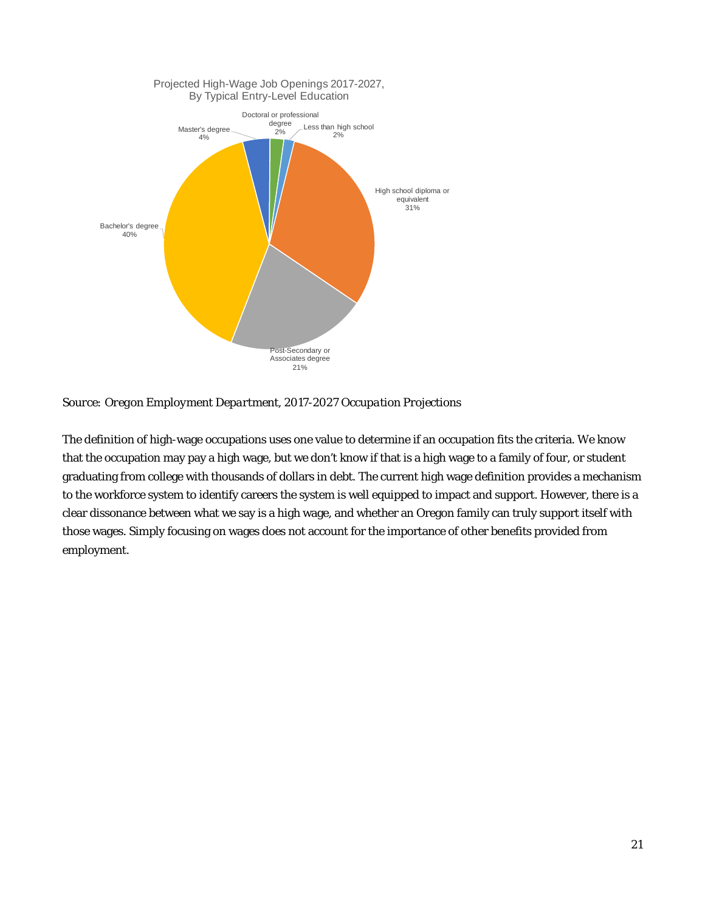

*Source: Oregon Employment Department, 2017-2027 Occupation Projections*

The definition of high-wage occupations uses one value to determine if an occupation fits the criteria. We know that the occupation may pay a high wage, but we don't know if that is a high wage to a family of four, or student graduating from college with thousands of dollars in debt. The current high wage definition provides a mechanism to the workforce system to identify careers the system is well equipped to impact and support. However, there is a clear dissonance between what we say is a high wage, and whether an Oregon family can truly support itself with those wages. Simply focusing on wages does not account for the importance of other benefits provided from employment.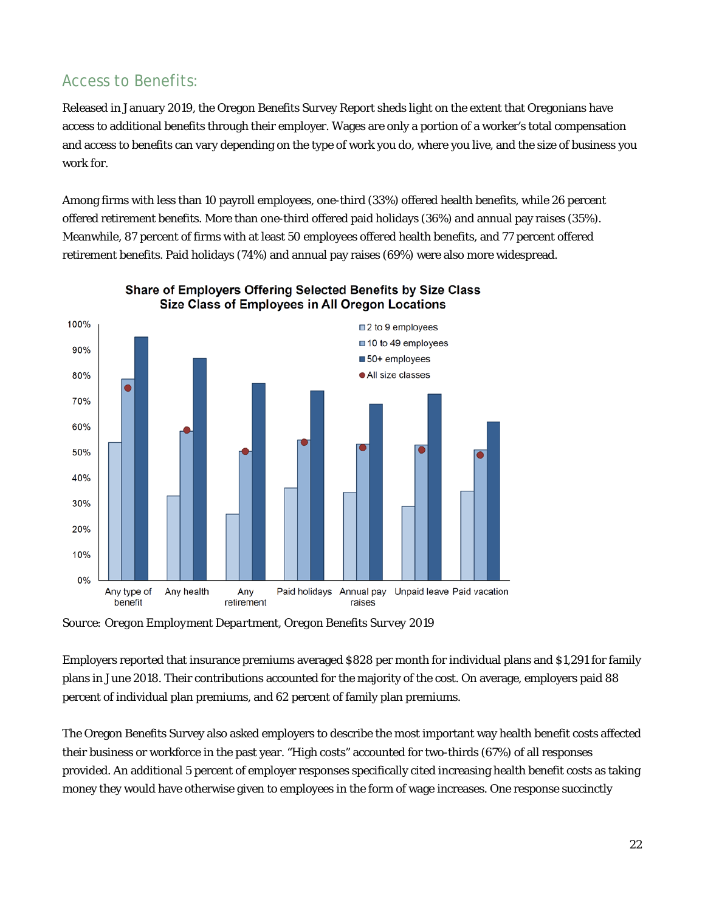## Access to Benefits:

Released in January 2019, the Oregon Benefits Survey Report sheds light on the extent that Oregonians have access to additional benefits through their employer. Wages are only a portion of a worker's total compensation and access to benefits can vary depending on the type of work you do, where you live, and the size of business you work for.

Among firms with less than 10 payroll employees, one-third (33%) offered health benefits, while 26 percent offered retirement benefits. More than one-third offered paid holidays (36%) and annual pay raises (35%). Meanwhile, 87 percent of firms with at least 50 employees offered health benefits, and 77 percent offered retirement benefits. Paid holidays (74%) and annual pay raises (69%) were also more widespread.





*Source: Oregon Employment Department, Oregon Benefits Survey 2019*

Employers reported that insurance premiums averaged \$828 per month for individual plans and \$1,291 for family plans in June 2018. Their contributions accounted for the majority of the cost. On average, employers paid 88 percent of individual plan premiums, and 62 percent of family plan premiums.

The Oregon Benefits Survey also asked employers to describe the most important way health benefit costs affected their business or workforce in the past year. "High costs" accounted for two-thirds (67%) of all responses provided. An additional 5 percent of employer responses specifically cited increasing health benefit costs as taking money they would have otherwise given to employees in the form of wage increases. One response succinctly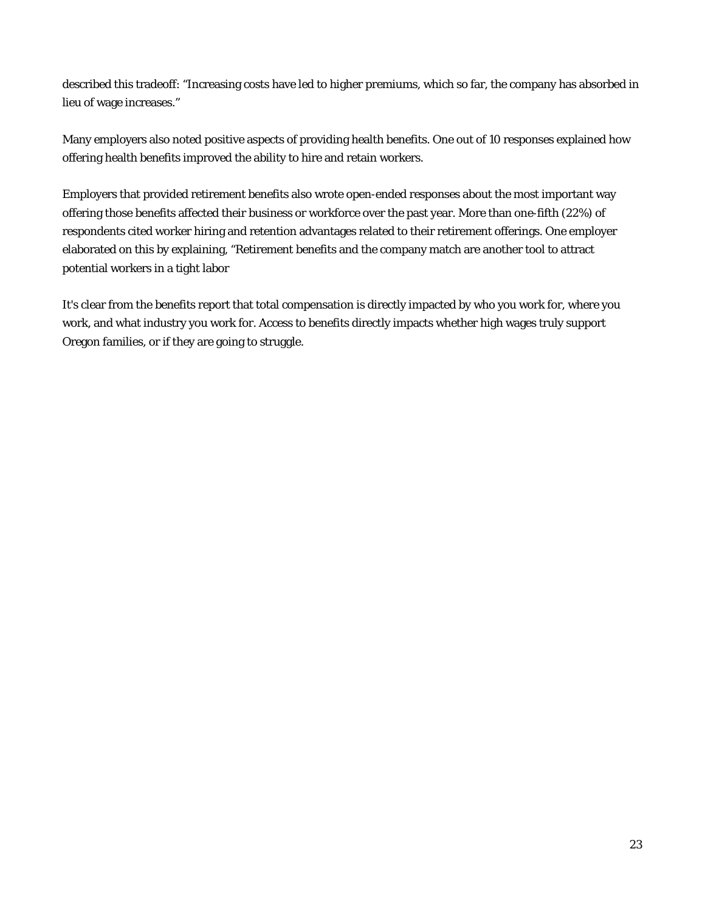described this tradeoff: "Increasing costs have led to higher premiums, which so far, the company has absorbed in lieu of wage increases."

Many employers also noted positive aspects of providing health benefits. One out of 10 responses explained how offering health benefits improved the ability to hire and retain workers.

Employers that provided retirement benefits also wrote open-ended responses about the most important way offering those benefits affected their business or workforce over the past year. More than one-fifth (22%) of respondents cited worker hiring and retention advantages related to their retirement offerings. One employer elaborated on this by explaining, "Retirement benefits and the company match are another tool to attract potential workers in a tight labor

It's clear from the benefits report that total compensation is directly impacted by who you work for, where you work, and what industry you work for. Access to benefits directly impacts whether high wages truly support Oregon families, or if they are going to struggle.